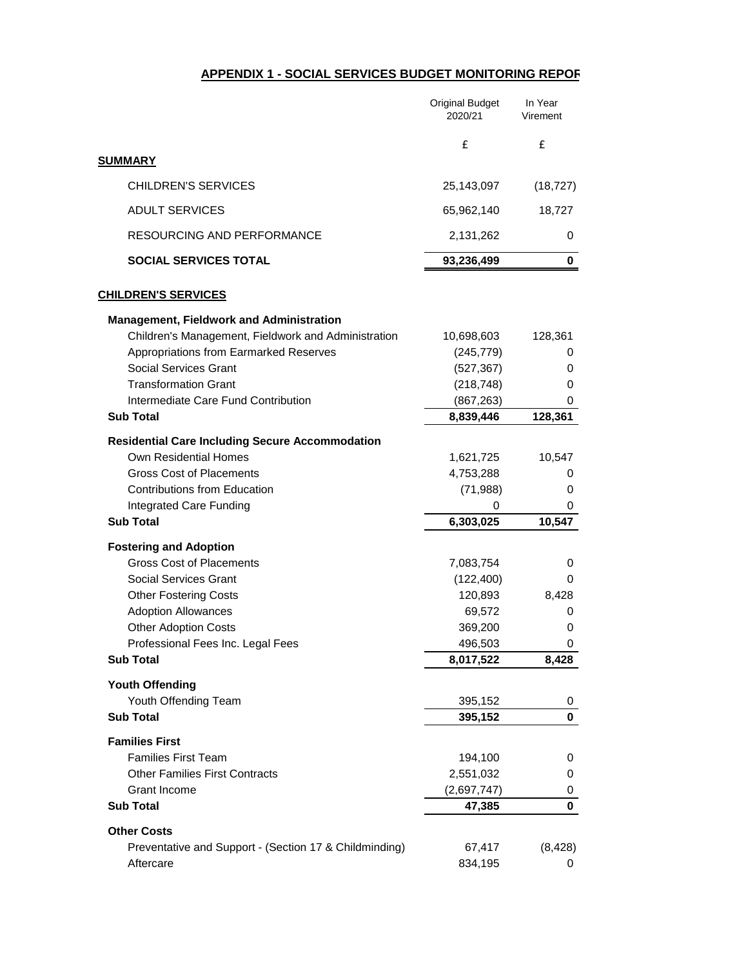## **APPENDIX 1 - SOCIAL SERVICES BUDGET MONITORING REPORT**

|                                                                        | <b>Original Budget</b><br>2020/21 | In Year<br>Virement |
|------------------------------------------------------------------------|-----------------------------------|---------------------|
| <b>SUMMARY</b>                                                         | £                                 | £                   |
|                                                                        |                                   |                     |
| <b>CHILDREN'S SERVICES</b>                                             | 25,143,097                        | (18, 727)           |
| <b>ADULT SERVICES</b>                                                  | 65,962,140                        | 18,727              |
| <b>RESOURCING AND PERFORMANCE</b>                                      | 2,131,262                         | 0                   |
| <b>SOCIAL SERVICES TOTAL</b>                                           | 93,236,499                        | 0                   |
| <b>CHILDREN'S SERVICES</b>                                             |                                   |                     |
| <b>Management, Fieldwork and Administration</b>                        |                                   |                     |
| Children's Management, Fieldwork and Administration                    | 10,698,603                        | 128,361             |
| Appropriations from Earmarked Reserves                                 | (245, 779)                        | 0                   |
| <b>Social Services Grant</b>                                           | (527, 367)                        | 0                   |
| <b>Transformation Grant</b>                                            | (218, 748)                        | 0                   |
| Intermediate Care Fund Contribution<br><b>Sub Total</b>                | (867, 263)<br>8,839,446           | 0<br>128,361        |
|                                                                        |                                   |                     |
| <b>Residential Care Including Secure Accommodation</b>                 |                                   |                     |
| <b>Own Residential Homes</b>                                           | 1,621,725                         | 10,547              |
| <b>Gross Cost of Placements</b><br><b>Contributions from Education</b> | 4,753,288<br>(71, 988)            | 0<br>0              |
| Integrated Care Funding                                                | 0                                 | 0                   |
| <b>Sub Total</b>                                                       | 6,303,025                         | 10,547              |
|                                                                        |                                   |                     |
| <b>Fostering and Adoption</b><br><b>Gross Cost of Placements</b>       | 7,083,754                         | 0                   |
| <b>Social Services Grant</b>                                           | (122, 400)                        | 0                   |
| <b>Other Fostering Costs</b>                                           | 120,893                           | 8,428               |
| <b>Adoption Allowances</b>                                             | 69,572                            | 0                   |
| <b>Other Adoption Costs</b>                                            | 369,200                           | 0                   |
| Professional Fees Inc. Legal Fees                                      | 496,503                           | 0                   |
| <b>Sub Total</b>                                                       | 8,017,522                         | 8,428               |
| <b>Youth Offending</b>                                                 |                                   |                     |
| Youth Offending Team                                                   | 395,152                           | 0                   |
| <b>Sub Total</b>                                                       | 395,152                           | 0                   |
| <b>Families First</b>                                                  |                                   |                     |
| <b>Families First Team</b>                                             | 194,100                           | 0                   |
| <b>Other Families First Contracts</b>                                  | 2,551,032                         | 0                   |
| <b>Grant Income</b>                                                    | (2,697,747)                       | 0                   |
| <b>Sub Total</b>                                                       | 47,385                            | $\mathbf 0$         |
| <b>Other Costs</b>                                                     |                                   |                     |
| Preventative and Support - (Section 17 & Childminding)                 | 67,417                            | (8, 428)            |
| Aftercare                                                              | 834,195                           | 0                   |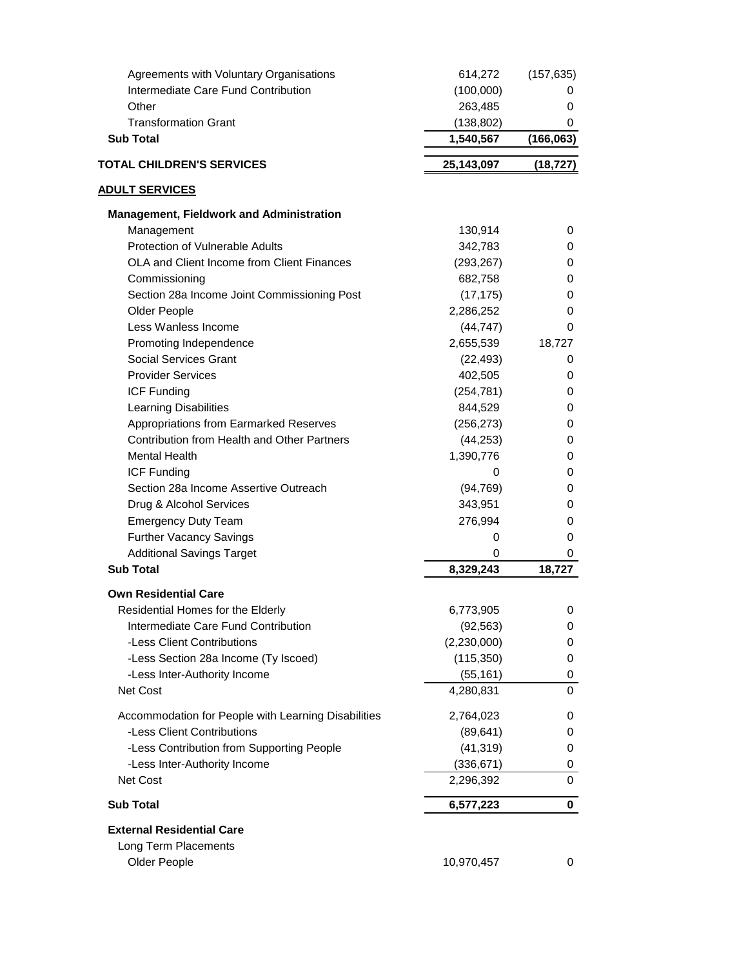| Agreements with Voluntary Organisations             | 614,272     | (157, 635)     |
|-----------------------------------------------------|-------------|----------------|
| Intermediate Care Fund Contribution                 | (100,000)   | Ü              |
| Other                                               | 263,485     | 0              |
| <b>Transformation Grant</b>                         | (138, 802)  | 0              |
| <b>Sub Total</b>                                    | 1,540,567   | (166, 063)     |
| <b>TOTAL CHILDREN'S SERVICES</b>                    | 25,143,097  | (18, 727)      |
| <b>ADULT SERVICES</b>                               |             |                |
| <b>Management, Fieldwork and Administration</b>     |             |                |
| Management                                          | 130,914     | 0              |
| <b>Protection of Vulnerable Adults</b>              | 342,783     | 0              |
| <b>OLA and Client Income from Client Finances</b>   | (293, 267)  | 0              |
| Commissioning                                       | 682,758     | 0              |
| Section 28a Income Joint Commissioning Post         | (17, 175)   | 0              |
| <b>Older People</b>                                 | 2,286,252   | 0              |
| Less Wanless Income                                 | (44, 747)   | 0              |
| Promoting Independence                              | 2,655,539   | 18,727         |
| <b>Social Services Grant</b>                        | (22, 493)   | 0              |
| <b>Provider Services</b>                            | 402,505     | 0              |
| <b>ICF Funding</b>                                  | (254, 781)  | 0              |
| Learning Disabilities                               | 844,529     | 0              |
| Appropriations from Earmarked Reserves              | (256, 273)  | 0              |
| Contribution from Health and Other Partners         | (44, 253)   | 0              |
| <b>Mental Health</b>                                | 1,390,776   | 0              |
| <b>ICF Funding</b>                                  | 0           | 0              |
| Section 28a Income Assertive Outreach               | (94, 769)   | 0              |
| Drug & Alcohol Services                             | 343,951     | 0              |
| <b>Emergency Duty Team</b>                          | 276,994     | 0              |
| <b>Further Vacancy Savings</b>                      | 0           | 0              |
| <b>Additional Savings Target</b>                    | 0           | 0              |
| <b>Sub Total</b>                                    | 8,329,243   | 18,727         |
| <b>Own Residential Care</b>                         |             |                |
| Residential Homes for the Elderly                   | 6,773,905   | 0              |
| Intermediate Care Fund Contribution                 | (92, 563)   | 0              |
| -Less Client Contributions                          | (2,230,000) | 0              |
| -Less Section 28a Income (Ty Iscoed)                | (115, 350)  | 0              |
| -Less Inter-Authority Income                        | (55, 161)   | 0              |
| Net Cost                                            | 4,280,831   | $\overline{0}$ |
| Accommodation for People with Learning Disabilities | 2,764,023   | 0              |
| -Less Client Contributions                          | (89, 641)   | 0              |
| -Less Contribution from Supporting People           | (41, 319)   | 0              |
| -Less Inter-Authority Income                        | (336, 671)  | 0              |
| Net Cost                                            | 2,296,392   | 0              |
| <b>Sub Total</b>                                    | 6,577,223   | 0              |
| <b>External Residential Care</b>                    |             |                |
| Long Term Placements                                |             |                |
| Older People                                        | 10,970,457  | 0              |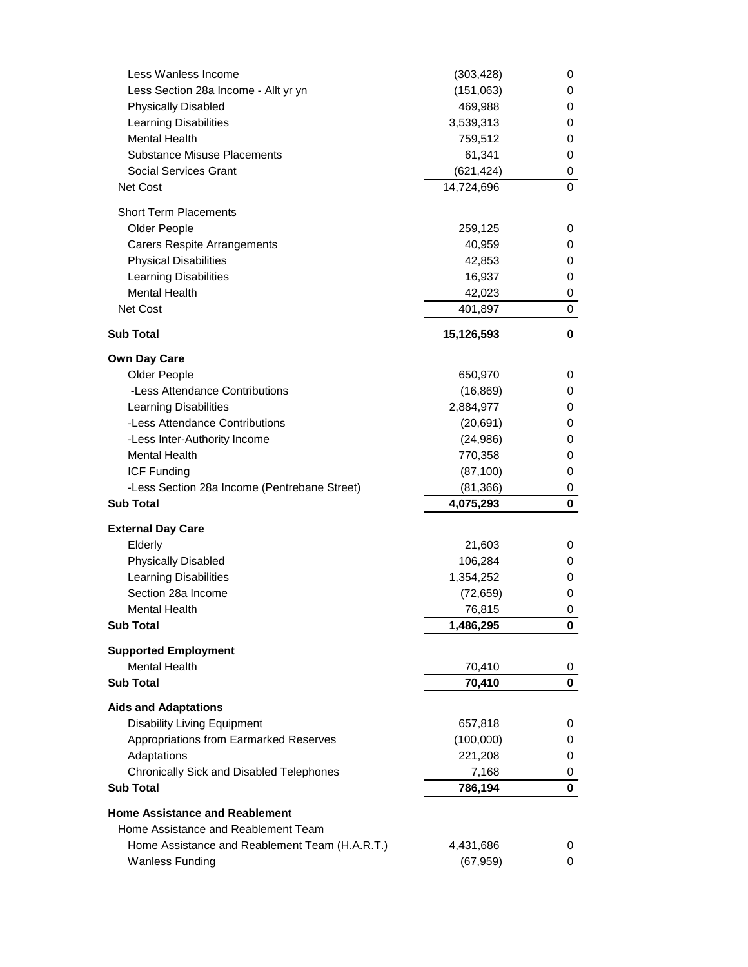|            | 0                                                                                                                                                                                                                          |
|------------|----------------------------------------------------------------------------------------------------------------------------------------------------------------------------------------------------------------------------|
| 469,988    | 0                                                                                                                                                                                                                          |
| 3,539,313  | 0                                                                                                                                                                                                                          |
| 759,512    | 0                                                                                                                                                                                                                          |
| 61,341     | 0                                                                                                                                                                                                                          |
|            | 0                                                                                                                                                                                                                          |
| 14,724,696 | 0                                                                                                                                                                                                                          |
|            |                                                                                                                                                                                                                            |
|            |                                                                                                                                                                                                                            |
|            | 0                                                                                                                                                                                                                          |
|            | 0                                                                                                                                                                                                                          |
|            | 0                                                                                                                                                                                                                          |
| 16,937     | 0                                                                                                                                                                                                                          |
| 42,023     | 0                                                                                                                                                                                                                          |
| 401,897    | 0                                                                                                                                                                                                                          |
| 15,126,593 | 0                                                                                                                                                                                                                          |
|            |                                                                                                                                                                                                                            |
|            | 0                                                                                                                                                                                                                          |
|            | 0                                                                                                                                                                                                                          |
|            | 0                                                                                                                                                                                                                          |
|            | 0                                                                                                                                                                                                                          |
|            | 0                                                                                                                                                                                                                          |
|            | 0                                                                                                                                                                                                                          |
|            | 0                                                                                                                                                                                                                          |
|            |                                                                                                                                                                                                                            |
|            | 0<br>0                                                                                                                                                                                                                     |
|            |                                                                                                                                                                                                                            |
|            |                                                                                                                                                                                                                            |
| 21,603     | 0                                                                                                                                                                                                                          |
| 106,284    | 0                                                                                                                                                                                                                          |
| 1,354,252  | 0                                                                                                                                                                                                                          |
| (72, 659)  | 0                                                                                                                                                                                                                          |
| 76,815     | 0                                                                                                                                                                                                                          |
| 1,486,295  | 0                                                                                                                                                                                                                          |
|            |                                                                                                                                                                                                                            |
|            |                                                                                                                                                                                                                            |
|            | 0                                                                                                                                                                                                                          |
|            | 0                                                                                                                                                                                                                          |
|            |                                                                                                                                                                                                                            |
| 657,818    | 0                                                                                                                                                                                                                          |
| (100,000)  | 0                                                                                                                                                                                                                          |
|            | 0                                                                                                                                                                                                                          |
|            | 0                                                                                                                                                                                                                          |
|            | 0                                                                                                                                                                                                                          |
|            |                                                                                                                                                                                                                            |
|            |                                                                                                                                                                                                                            |
|            |                                                                                                                                                                                                                            |
| 4,431,686  | 0                                                                                                                                                                                                                          |
| (67, 959)  | 0                                                                                                                                                                                                                          |
|            | (151,063)<br>(621, 424)<br>259,125<br>40,959<br>42,853<br>650,970<br>(16, 869)<br>2,884,977<br>(20, 691)<br>(24, 986)<br>770,358<br>(87, 100)<br>(81, 366)<br>4,075,293<br>70,410<br>70,410<br>221,208<br>7,168<br>786,194 |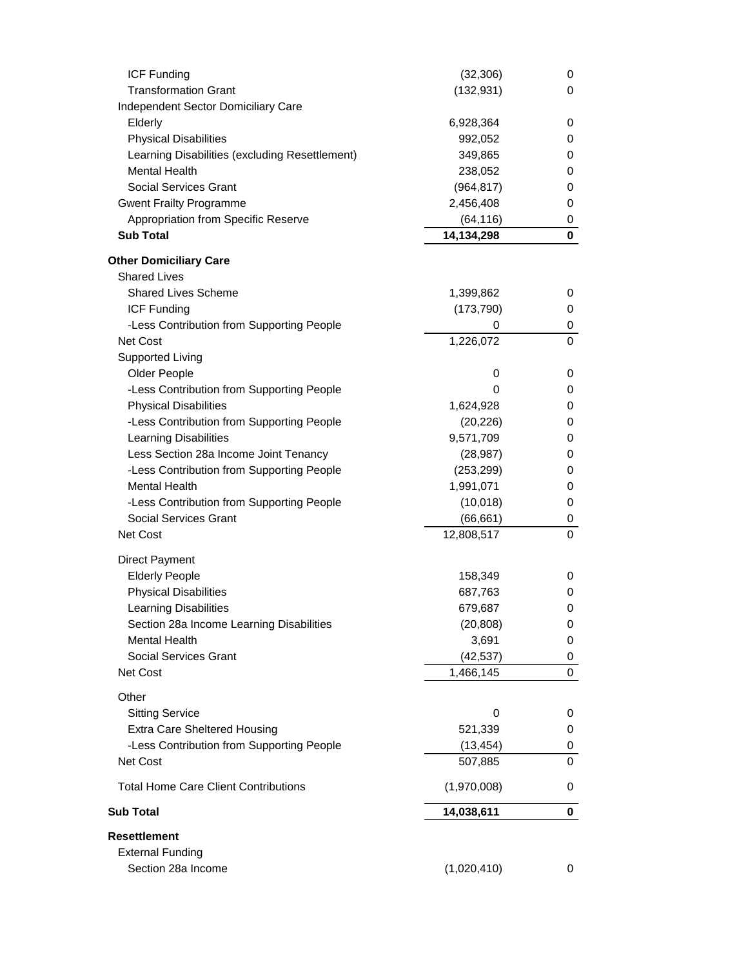| <b>ICF Funding</b>                             | (32, 306)   | 0           |
|------------------------------------------------|-------------|-------------|
| <b>Transformation Grant</b>                    | (132, 931)  | 0           |
| <b>Independent Sector Domiciliary Care</b>     |             |             |
| Elderly                                        | 6,928,364   | 0           |
| <b>Physical Disabilities</b>                   | 992,052     | 0           |
| Learning Disabilities (excluding Resettlement) | 349,865     | 0           |
| <b>Mental Health</b>                           | 238,052     | 0           |
| <b>Social Services Grant</b>                   | (964, 817)  | 0           |
| <b>Gwent Frailty Programme</b>                 | 2,456,408   | 0           |
| Appropriation from Specific Reserve            | (64, 116)   | 0           |
| <b>Sub Total</b>                               | 14,134,298  | 0           |
| <b>Other Domiciliary Care</b>                  |             |             |
| <b>Shared Lives</b>                            |             |             |
| <b>Shared Lives Scheme</b>                     | 1,399,862   | 0           |
| <b>ICF Funding</b>                             | (173, 790)  | 0           |
| -Less Contribution from Supporting People      | 0           | 0           |
| <b>Net Cost</b>                                | 1,226,072   | 0           |
| <b>Supported Living</b>                        |             |             |
| Older People                                   | 0           | 0           |
| -Less Contribution from Supporting People      | 0           | 0           |
| <b>Physical Disabilities</b>                   | 1,624,928   | 0           |
| -Less Contribution from Supporting People      | (20, 226)   | 0           |
| <b>Learning Disabilities</b>                   | 9,571,709   | 0           |
| Less Section 28a Income Joint Tenancy          | (28, 987)   | 0           |
| -Less Contribution from Supporting People      | (253, 299)  | 0           |
| <b>Mental Health</b>                           | 1,991,071   | 0           |
| -Less Contribution from Supporting People      | (10,018)    | 0           |
| <b>Social Services Grant</b>                   | (66, 661)   | 0           |
| Net Cost                                       | 12,808,517  | $\mathbf 0$ |
|                                                |             |             |
| <b>Direct Payment</b>                          |             |             |
| <b>Elderly People</b>                          | 158,349     | 0           |
| <b>Physical Disabilities</b>                   | 687,763     | 0           |
| <b>Learning Disabilities</b>                   | 679,687     | 0           |
| Section 28a Income Learning Disabilities       | (20, 808)   | 0           |
| <b>Mental Health</b>                           | 3,691       | 0           |
| <b>Social Services Grant</b>                   | (42, 537)   | 0           |
| Net Cost                                       | 1,466,145   | 0           |
| Other                                          |             |             |
| <b>Sitting Service</b>                         | 0           | 0           |
| <b>Extra Care Sheltered Housing</b>            | 521,339     | 0           |
| -Less Contribution from Supporting People      | (13, 454)   | 0           |
| Net Cost                                       | 507,885     | 0           |
| <b>Total Home Care Client Contributions</b>    | (1,970,008) | 0           |
| <b>Sub Total</b>                               | 14,038,611  | $\mathbf 0$ |
| <b>Resettlement</b>                            |             |             |
| <b>External Funding</b>                        |             |             |
| Section 28a Income                             | (1,020,410) | 0           |
|                                                |             |             |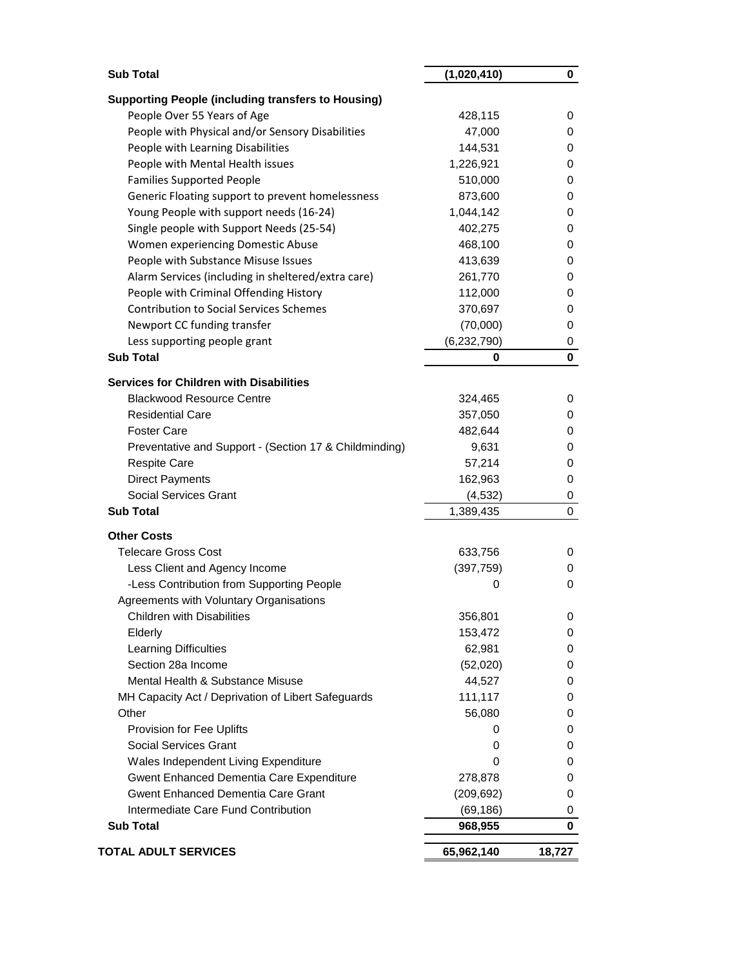| <b>Sub Total</b>                                          | (1,020,410)   | 0      |
|-----------------------------------------------------------|---------------|--------|
| <b>Supporting People (including transfers to Housing)</b> |               |        |
| People Over 55 Years of Age                               | 428,115       | 0      |
| People with Physical and/or Sensory Disabilities          | 47,000        | 0      |
| People with Learning Disabilities                         | 144,531       | 0      |
| People with Mental Health issues                          | 1,226,921     | 0      |
| <b>Families Supported People</b>                          | 510,000       | 0      |
| Generic Floating support to prevent homelessness          | 873,600       | 0      |
| Young People with support needs (16-24)                   | 1,044,142     | 0      |
| Single people with Support Needs (25-54)                  | 402,275       | 0      |
|                                                           | 468,100       | 0      |
| Women experiencing Domestic Abuse                         |               |        |
| People with Substance Misuse Issues                       | 413,639       | 0      |
| Alarm Services (including in sheltered/extra care)        | 261,770       | 0      |
| People with Criminal Offending History                    | 112,000       | 0      |
| <b>Contribution to Social Services Schemes</b>            | 370,697       | 0      |
| Newport CC funding transfer                               | (70,000)      | 0      |
| Less supporting people grant                              | (6, 232, 790) | 0      |
| <b>Sub Total</b>                                          | 0             | 0      |
| <b>Services for Children with Disabilities</b>            |               |        |
| <b>Blackwood Resource Centre</b>                          | 324,465       | 0      |
| <b>Residential Care</b>                                   | 357,050       | 0      |
| <b>Foster Care</b>                                        | 482,644       | 0      |
| Preventative and Support - (Section 17 & Childminding)    | 9,631         | 0      |
| <b>Respite Care</b>                                       | 57,214        | 0      |
| <b>Direct Payments</b>                                    | 162,963       | 0      |
| <b>Social Services Grant</b>                              | (4, 532)      | 0      |
| <b>Sub Total</b>                                          | 1,389,435     | 0      |
|                                                           |               |        |
| <b>Other Costs</b>                                        |               |        |
| <b>Telecare Gross Cost</b>                                | 633,756       | 0      |
| Less Client and Agency Income                             | (397, 759)    | 0      |
| -Less Contribution from Supporting People                 | 0             | 0      |
| Agreements with Voluntary Organisations                   |               |        |
| <b>Children with Disabilities</b>                         | 356,801       | 0      |
| Elderly                                                   | 153,472       | 0      |
| <b>Learning Difficulties</b>                              | 62,981        | 0      |
| Section 28a Income                                        | (52,020)      | 0      |
| Mental Health & Substance Misuse                          | 44,527        | 0      |
| MH Capacity Act / Deprivation of Libert Safeguards        | 111,117       | 0      |
| Other                                                     | 56,080        | 0      |
| Provision for Fee Uplifts                                 | 0             | 0      |
| <b>Social Services Grant</b>                              | 0             | 0      |
| Wales Independent Living Expenditure                      | 0             | 0      |
| Gwent Enhanced Dementia Care Expenditure                  | 278,878       | 0      |
| <b>Gwent Enhanced Dementia Care Grant</b>                 | (209, 692)    | 0      |
| Intermediate Care Fund Contribution                       | (69, 186)     | 0      |
| <b>Sub Total</b>                                          | 968,955       | 0      |
| <b>TOTAL ADULT SERVICES</b>                               | 65,962,140    | 18,727 |
|                                                           |               |        |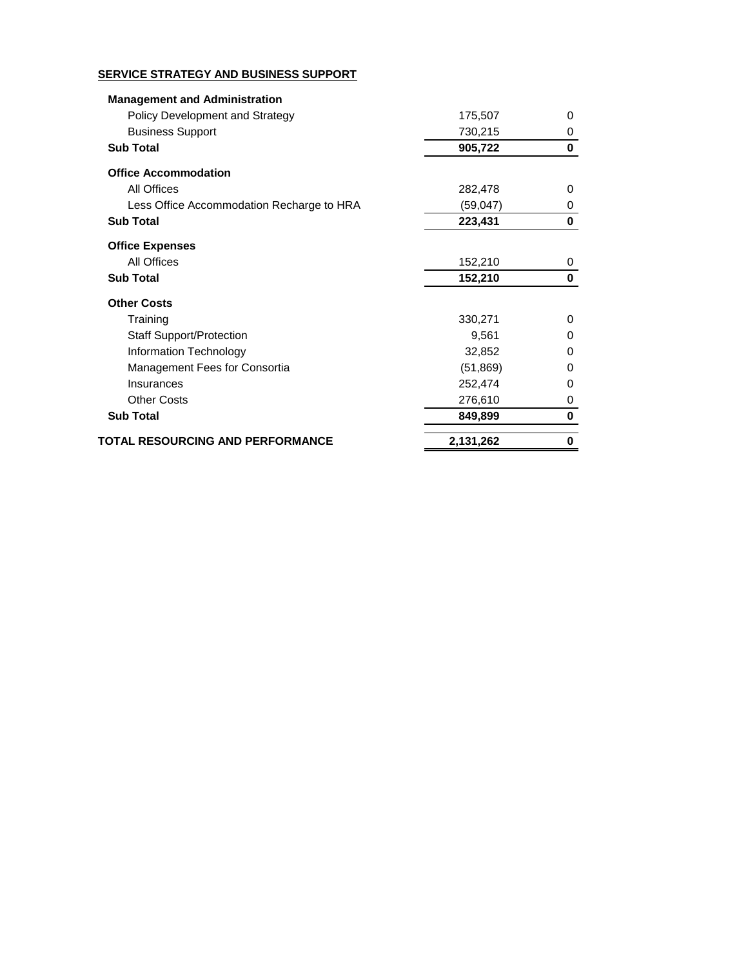## **SERVICE STRATEGY AND BUSINESS SUPPORT**

| <b>Management and Administration</b>      |           |          |
|-------------------------------------------|-----------|----------|
| <b>Policy Development and Strategy</b>    | 175,507   | 0        |
| <b>Business Support</b>                   | 730,215   | 0        |
| <b>Sub Total</b>                          | 905,722   | $\bf{0}$ |
| <b>Office Accommodation</b>               |           |          |
| <b>All Offices</b>                        | 282,478   | 0        |
| Less Office Accommodation Recharge to HRA | (59, 047) | 0        |
| <b>Sub Total</b>                          | 223,431   | 0        |
| <b>Office Expenses</b>                    |           |          |
| <b>All Offices</b>                        | 152,210   | 0        |
| <b>Sub Total</b>                          | 152,210   | 0        |
| <b>Other Costs</b>                        |           |          |
| Training                                  | 330,271   | 0        |
| <b>Staff Support/Protection</b>           | 9,561     | 0        |
| <b>Information Technology</b>             | 32,852    | 0        |
| Management Fees for Consortia             | (51, 869) | 0        |
| Insurances                                | 252,474   | 0        |
| <b>Other Costs</b>                        | 276,610   | 0        |
| <b>Sub Total</b>                          | 849,899   | 0        |
| TOTAL RESOURCING AND PERFORMANCE          | 2,131,262 | 0        |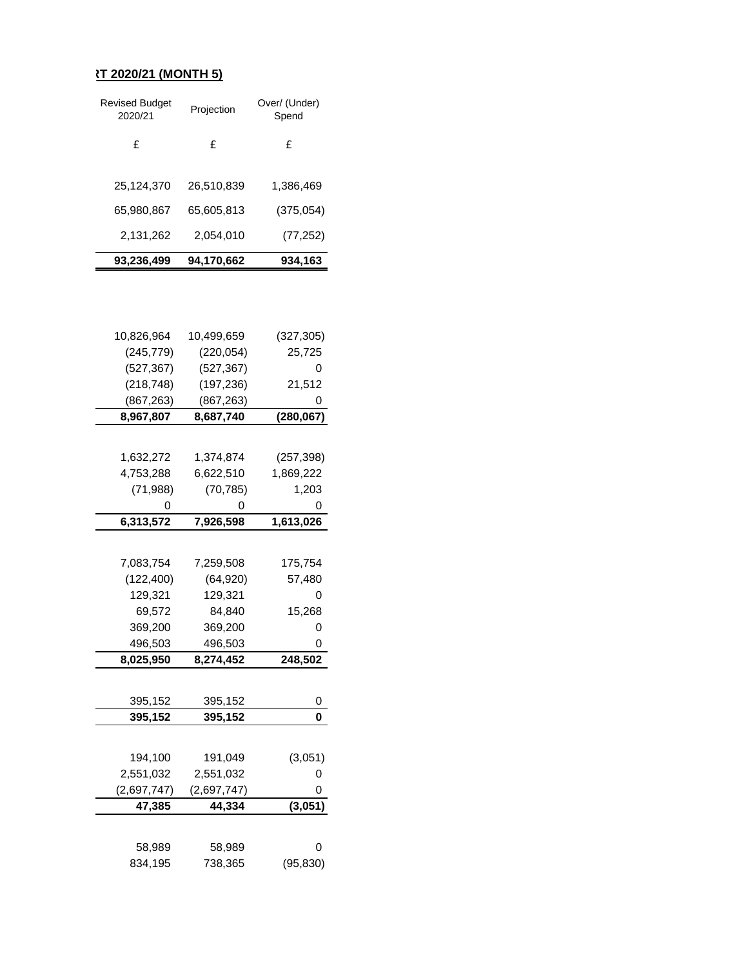## **RT 2020/21 (MONTH 5)**

| 93,236,499                       | 94.170.662 | 934,163                |
|----------------------------------|------------|------------------------|
| 2,131,262                        | 2,054,010  | (77, 252)              |
| 65.980.867                       | 65,605,813 | (375, 054)             |
| 25,124,370                       | 26,510,839 | 1,386,469              |
| £                                | f          | £                      |
| <b>Revised Budget</b><br>2020/21 | Projection | Over/ (Under)<br>Spend |

| 10,826,964  | 10,499,659  | (327, 305) |
|-------------|-------------|------------|
| (245, 779)  | (220, 054)  | 25,725     |
| (527, 367)  | (527, 367)  | 0          |
| (218, 748)  | (197, 236)  | 21,512     |
| (867, 263)  | (867, 263)  | 0          |
| 8,967,807   | 8,687,740   | (280, 067) |
|             |             |            |
| 1,632,272   | 1,374,874   | (257, 398) |
| 4,753,288   | 6,622,510   | 1,869,222  |
| (71, 988)   | (70, 785)   | 1,203      |
| O           | 0           | 0          |
| 6,313,572   | 7,926,598   | 1,613,026  |
|             |             |            |
| 7,083,754   | 7,259,508   | 175,754    |
| (122, 400)  | (64, 920)   | 57,480     |
| 129,321     | 129,321     | 0          |
| 69,572      | 84,840      | 15,268     |
| 369,200     | 369,200     | 0          |
| 496,503     | 496,503     | 0          |
| 8,025,950   | 8,274,452   | 248,502    |
|             |             |            |
| 395,152     | 395,152     | 0          |
| 395,152     | 395,152     | 0          |
|             |             |            |
|             |             |            |
| 194,100     | 191,049     | (3,051)    |
| 2,551,032   | 2,551,032   | 0          |
| (2,697,747) | (2,697,747) | 0          |
| 47,385      | 44,334      | (3,051)    |
|             |             |            |
| 58,989      | 58,989      | 0          |
| 834,195     | 738,365     | (95, 830)  |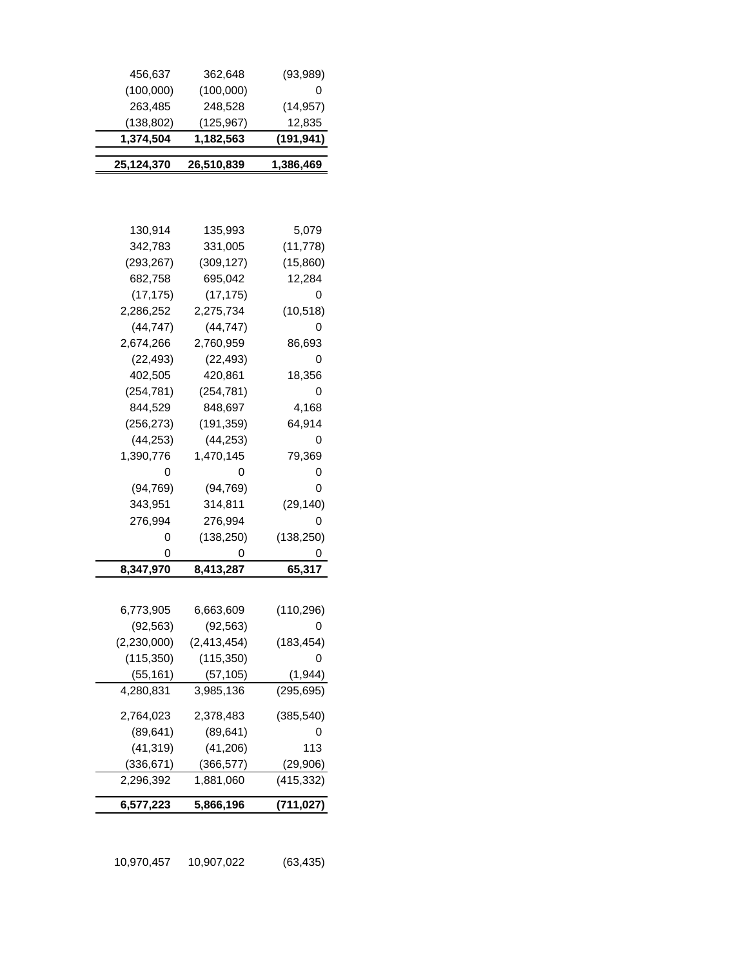| 456,637       | 362,648       | (93, 989)  |
|---------------|---------------|------------|
| (100,000)     | (100,000)     | 0          |
| 263,485       | 248,528       | (14, 957)  |
| (138, 802)    | (125, 967)    | 12,835     |
| 1,374,504     | 1,182,563     | (191,941)  |
| 25,124,370    | 26,510,839    | 1,386,469  |
|               |               |            |
|               |               |            |
|               |               |            |
| 130,914       | 135,993       | 5,079      |
| 342,783       | 331,005       | (11, 778)  |
| (293, 267)    | (309, 127)    | (15,860)   |
| 682,758       | 695,042       | 12,284     |
| (17, 175)     | (17, 175)     | 0          |
| 2,286,252     | 2,275,734     | (10, 518)  |
| (44, 747)     | (44, 747)     | 0          |
| 2,674,266     | 2,760,959     | 86,693     |
| (22, 493)     | (22, 493)     | 0          |
| 402,505       | 420,861       | 18,356     |
| (254, 781)    | (254, 781)    | 0          |
| 844,529       | 848,697       | 4,168      |
| (256, 273)    | (191, 359)    | 64,914     |
| (44, 253)     | (44, 253)     | 0          |
| 1,390,776     | 1,470,145     | 79,369     |
| 0             | 0             | 0          |
| (94, 769)     | (94, 769)     | 0          |
| 343,951       | 314,811       | (29, 140)  |
| 276,994       | 276,994       | 0          |
| 0             | (138, 250)    | (138, 250) |
| 0             | 0             | 0          |
| 8,347,970     | 8,413,287     | 65,317     |
|               |               |            |
| 6,773,905     | 6,663,609     | (110, 296) |
| (92, 563)     | (92, 563)     | 0          |
| (2, 230, 000) | (2, 413, 454) | (183, 454) |
| (115, 350)    | (115, 350)    | O          |
| (55, 161)     | (57, 105)     | (1, 944)   |
| 4,280,831     | 3,985,136     | (295, 695) |
|               |               |            |
| 2,764,023     | 2,378,483     | (385, 540) |
| (89, 641)     | (89, 641)     | 0          |
| (41, 319)     | (41, 206)     | 113        |
| (336, 671)    | (366, 577)    | (29,906)   |
| 2,296,392     | 1,881,060     | (415, 332) |
| 6,577,223     | 5,866,196     | (711, 027) |
|               |               |            |

10,970,457 10,907,022 (63,435)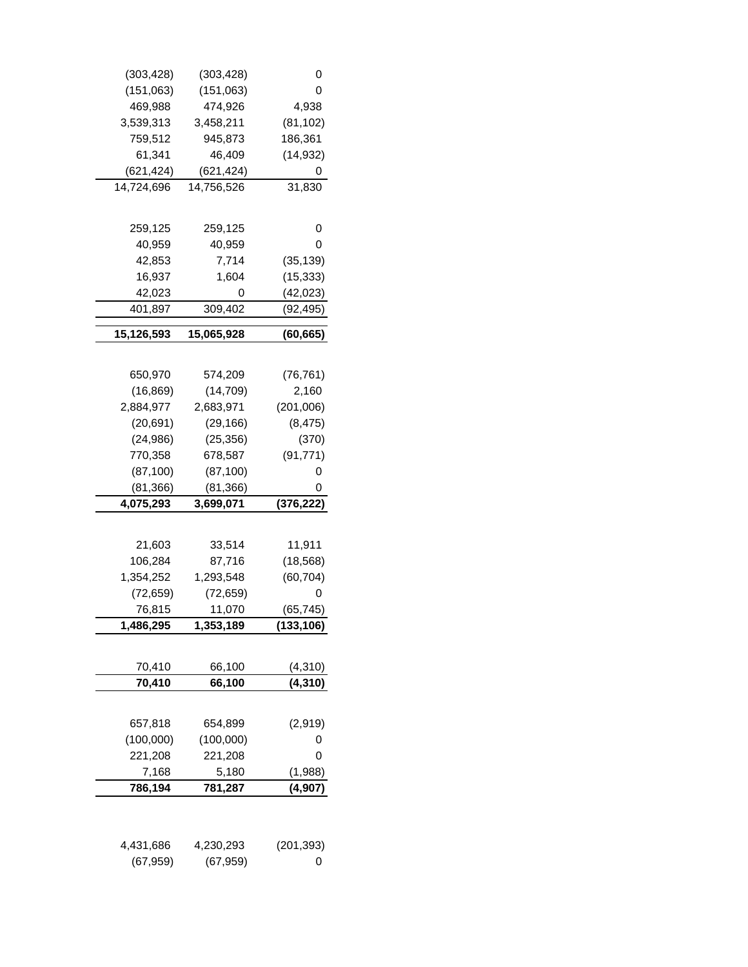| (303, 428) | (303, 428) | 0               |
|------------|------------|-----------------|
| (151,063)  | (151,063)  | 0               |
| 469,988    | 474,926    | 4,938           |
| 3,539,313  | 3,458,211  | (81, 102)       |
| 759,512    | 945,873    | 186,361         |
| 61,341     | 46,409     | (14, 932)       |
| (621, 424) | (621, 424) | O               |
| 14,724,696 | 14,756,526 | 31,830          |
|            |            |                 |
|            |            |                 |
| 259,125    | 259,125    | 0               |
| 40,959     | 40,959     | 0               |
| 42,853     | 7,714      | (35, 139)       |
| 16,937     | 1,604      | (15, 333)       |
| 42,023     | 0          | (42, 023)       |
| 401,897    | 309,402    | (92,495)        |
| 15,126,593 | 15,065,928 | (60, 665)       |
|            |            |                 |
|            |            |                 |
| 650,970    | 574,209    | (76, 761)       |
| (16, 869)  | (14, 709)  | 2,160           |
| 2,884,977  | 2,683,971  | (201,006)       |
| (20, 691)  | (29, 166)  | (8, 475)        |
| (24, 986)  | (25, 356)  | (370)           |
| 770,358    | 678,587    | (91, 771)       |
| (87, 100)  | (87, 100)  | 0               |
| (81, 366)  | (81, 366)  | 0               |
| 4,075,293  | 3,699,071  | (376, 222)      |
|            |            |                 |
| 21,603     | 33,514     | 11,911          |
| 106,284    | 87,716     | (18, 568)       |
| 1,354,252  | 1,293,548  | (60, 704)       |
| (72, 659)  | (72, 659)  | 0               |
| 76,815     | 11,070     | (65, 745)       |
| 1,486,295  | 1,353,189  | (133, 106)      |
|            |            |                 |
|            |            |                 |
| 70,410     | 66,100     | <u>(4,</u> 310) |
| 70,410     | 66,100     | (4, 310)        |
|            |            |                 |
| 657,818    | 654,899    | (2,919)         |
| (100,000)  | (100,000)  | 0               |
| 221,208    | 221,208    | 0               |
| 7,168      | 5,180      | (1,988)         |
| 786,194    | 781,287    | (4, 907)        |
|            |            |                 |
|            |            |                 |
|            | 4,230,293  |                 |
| 4,431,686  |            | (201, 393)      |
| (67, 959)  | (67, 959)  | 0               |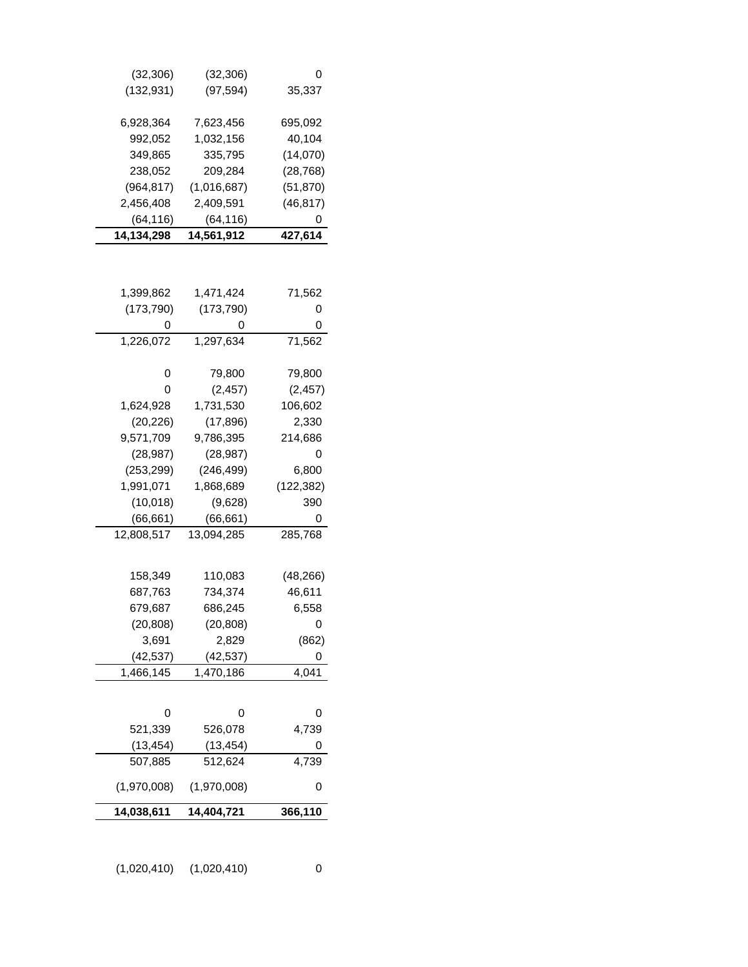| (32, 306)   | (32, 306)   | O          |
|-------------|-------------|------------|
| (132, 931)  | (97, 594)   | 35,337     |
|             |             |            |
| 6,928,364   | 7,623,456   | 695,092    |
| 992,052     | 1,032,156   | 40,104     |
| 349,865     | 335,795     | (14,070)   |
| 238,052     | 209,284     | (28, 768)  |
| (964, 817)  | (1,016,687) | (51, 870)  |
| 2,456,408   | 2,409,591   | (46, 817)  |
| (64, 116)   | (64,116)    | 0          |
| 14,134,298  | 14,561,912  | 427,614    |
|             |             |            |
| 1,399,862   | 1,471,424   | 71,562     |
| (173, 790)  | (173, 790)  | 0          |
| 0           | 0           | 0          |
| 1,226,072   | 1,297,634   | 71,562     |
|             |             |            |
| 0           | 79,800      | 79,800     |
| 0           | (2, 457)    | (2, 457)   |
| 1,624,928   | 1,731,530   | 106,602    |
| (20, 226)   | (17, 896)   | 2,330      |
| 9,571,709   | 9,786,395   | 214,686    |
| (28, 987)   | (28, 987)   | 0          |
| (253, 299)  | (246, 499)  | 6,800      |
| 1,991,071   | 1,868,689   | (122, 382) |
| (10,018)    | (9,628)     | 390        |
| (66, 661)   | (66, 661)   | 0          |
| 12,808,517  | 13,094,285  | 285,768    |
|             |             |            |
| 158,349     | 110,083     | (48, 266)  |
| 687,763     | 734,374     | 46,611     |
| 679,687     | 686,245     | 6,558      |
| (20, 808)   | (20, 808)   | 0          |
| 3,691       | 2,829       | (862)      |
| (42, 537)   | (42, 537)   | 0          |
| 1,466,145   | 1,470,186   | 4,041      |
|             |             |            |
|             |             |            |
| 0           | 0           | 0          |
| 521,339     | 526,078     | 4,739      |
| (13, 454)   | (13, 454)   | 0          |
| 507,885     | 512,624     | 4,739      |
| (1,970,008) | (1,970,008) | 0          |
| 14,038,611  | 14,404,721  | 366,110    |
|             |             |            |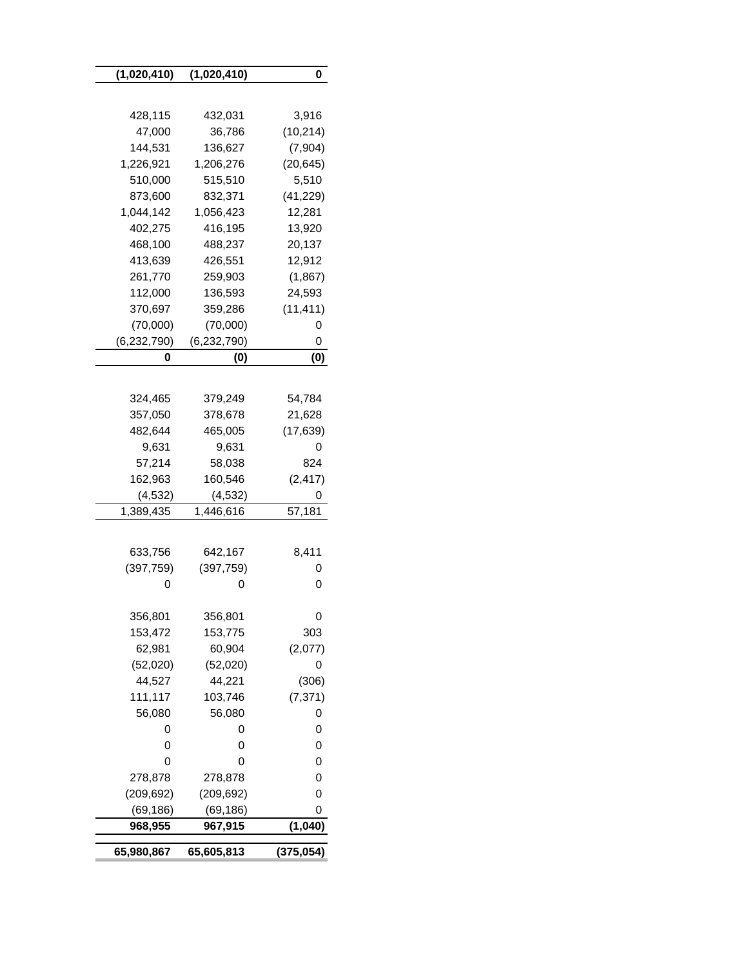| (1,020,410)   | (1,020,410)   | 0          |
|---------------|---------------|------------|
|               |               |            |
| 428,115       | 432,031       | 3,916      |
| 47,000        | 36,786        | (10, 214)  |
| 144,531       | 136,627       | (7,904)    |
| 1,226,921     | 1,206,276     | (20, 645)  |
| 510,000       | 515,510       | 5,510      |
| 873,600       | 832,371       | (41, 229)  |
| 1,044,142     | 1,056,423     | 12,281     |
| 402,275       | 416,195       | 13,920     |
| 468,100       | 488,237       | 20,137     |
| 413,639       | 426,551       | 12,912     |
| 261,770       | 259,903       | (1,867)    |
| 112,000       | 136,593       | 24,593     |
| 370,697       | 359,286       | (11, 411)  |
| (70,000)      | (70,000)      | 0          |
| (6, 232, 790) | (6, 232, 790) | 0          |
| 0             | (0)           | (0)        |
|               |               |            |
| 324,465       | 379,249       | 54,784     |
| 357,050       | 378,678       | 21,628     |
| 482,644       | 465,005       | (17, 639)  |
| 9,631         | 9,631         | 0          |
| 57,214        | 58,038        | 824        |
| 162,963       | 160,546       | (2, 417)   |
| (4, 532)      | (4, 532)      | 0          |
| 1,389,435     | 1,446,616     | 57,181     |
|               |               |            |
| 633,756       | 642,167       | 8,411      |
| (397, 759)    | (397, 759)    | υ          |
| 0             | 0             | 0          |
|               |               |            |
| 356,801       | 356,801       | 0          |
| 153,472       | 153,775       | 303        |
| 62,981        | 60,904        | (2,077)    |
| (52,020)      | (52,020)      | 0          |
| 44,527        | 44,221        | (306)      |
| 111,117       | 103,746       | (7, 371)   |
| 56,080        | 56,080        | 0          |
| 0             | 0             | 0          |
| 0             | 0             | 0          |
| 0             | 0             | 0          |
| 278,878       | 278,878       | 0          |
| (209, 692)    | (209, 692)    | 0          |
| (69, 186)     | (69, 186)     | 0          |
| 968,955       | 967,915       | (1,040)    |
| 65,980,867    | 65,605,813    | (375, 054) |